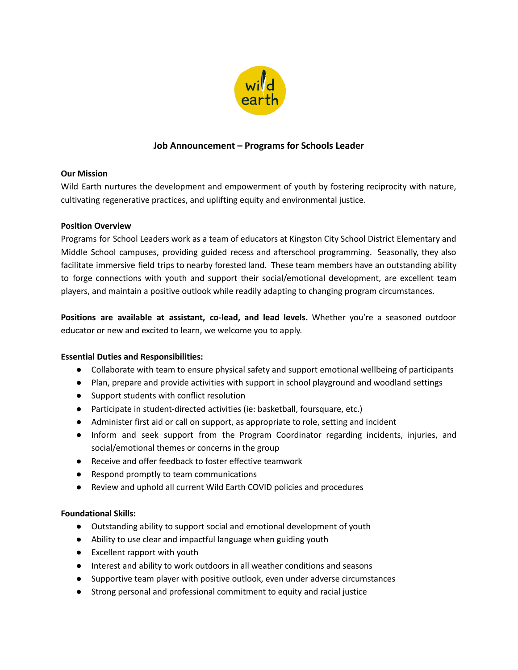

# **Job Announcement – Programs for Schools Leader**

## **Our Mission**

Wild Earth nurtures the development and empowerment of youth by fostering reciprocity with nature, cultivating regenerative practices, and uplifting equity and environmental justice.

## **Position Overview**

Programs for School Leaders work as a team of educators at Kingston City School District Elementary and Middle School campuses, providing guided recess and afterschool programming. Seasonally, they also facilitate immersive field trips to nearby forested land. These team members have an outstanding ability to forge connections with youth and support their social/emotional development, are excellent team players, and maintain a positive outlook while readily adapting to changing program circumstances.

**Positions are available at assistant, co-lead, and lead levels.** Whether you're a seasoned outdoor educator or new and excited to learn, we welcome you to apply.

### **Essential Duties and Responsibilities:**

- Collaborate with team to ensure physical safety and support emotional wellbeing of participants
- Plan, prepare and provide activities with support in school playground and woodland settings
- Support students with conflict resolution
- Participate in student-directed activities (ie: basketball, foursquare, etc.)
- Administer first aid or call on support, as appropriate to role, setting and incident
- Inform and seek support from the Program Coordinator regarding incidents, injuries, and social/emotional themes or concerns in the group
- Receive and offer feedback to foster effective teamwork
- Respond promptly to team communications
- Review and uphold all current Wild Earth COVID policies and procedures

### **Foundational Skills:**

- Outstanding ability to support social and emotional development of youth
- Ability to use clear and impactful language when guiding youth
- Excellent rapport with youth
- Interest and ability to work outdoors in all weather conditions and seasons
- Supportive team player with positive outlook, even under adverse circumstances
- Strong personal and professional commitment to equity and racial justice